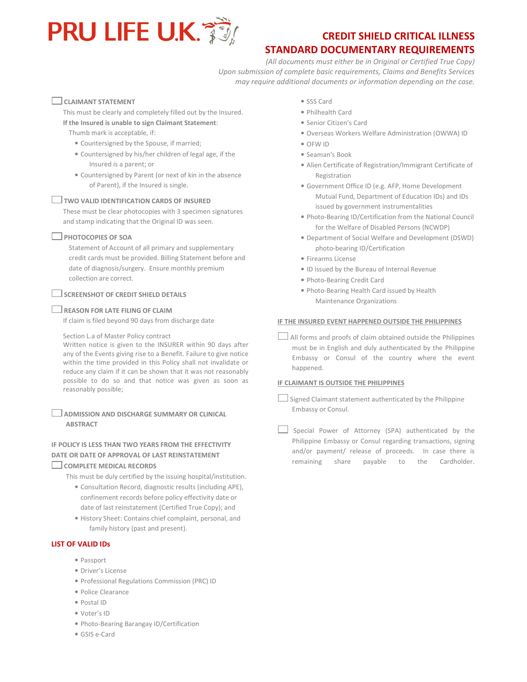

# CREDIT SHIELD CRITICAL ILLNESS

# STANDARD DOCUMENTARY REQUIREMENTS

(All documents must either be in Original or Certified True Copy) Upon submission of complete basic requirements, Claims and Benefits Services may require additional documents or information depending on the case.

## $\Box$  CLAIMANT STATEMENT

This must be clearly and completely filled out by the Insured. If the Insured is unable to sign Claimant Statement:

Thumb mark is acceptable, if:

- Countersigned by the Spouse, if married;
- Countersigned by his/her children of legal age, if the Insured is a parent; or
- Countersigned by Parent (or next of kin in the absence of Parent), if the Insured is single.

#### $\Box$  TWO VALID IDENTIFICATION CARDS OF INSURED

These must be clear photocopies with 3 specimen signatures and stamp indicating that the Original ID was seen.

#### **PHOTOCOPIES OF SOA**

Statement of Account of all primary and supplementary credit cards must be provided. Billing Statement before and date of diagnosis/surgery. Ensure monthly premium collection are correct.

#### $\Box$  SCREENSHOT OF CREDIT SHIELD DETAILS

#### $\Box$  REASON FOR LATE FILING OF CLAIM

If claim is filed beyond 90 days from discharge date

#### Section L.a of Master Policy contract

Written notice is given to the INSURER within 90 days after any of the Events giving rise to a Benefit. Failure to give notice within the time provided in this Policy shall not invalidate or reduce any claim if it can be shown that it was not reasonably possible to do so and that notice was given as soon as reasonably possible;

ADMISSION AND DISCHARGE SUMMARY OR CLINICAL **ABSTRACT** 

## IF POLICY IS LESS THAN TWO YEARS FROM THE EFFECTIVITY DATE OR DATE OF APPROVAL OF LAST REINSTATEMENT

#### COMPLETE MEDICAL RECORDS

This must be duly certified by the issuing hospital/institution.

- Consultation Record, diagnostic results (including APE), confinement records before policy effectivity date or date of last reinstatement (Certified True Copy); and
- History Sheet: Contains chief complaint, personal, and family history (past and present).

#### LIST OF VALID IDs

- Passport
- Driver's License
- Professional Regulations Commission (PRC) ID
- Police Clearance
- Postal ID
- Voter's ID
- Photo-Bearing Barangay ID/Certification
- GSIS e-Card
- SSS Card
- Philhealth Card
- Senior Citizen's Card
- Overseas Workers Welfare Administration (OWWA) ID
- OFW ID
- Seaman's Book
- Alien Certificate of Registration/Immigrant Certificate of Registration
- Government Office ID (e.g. AFP, Home Development Mutual Fund, Department of Education IDs) and IDs issued by government instrumentalities
- Photo-Bearing ID/Certification from the National Council for the Welfare of Disabled Persons (NCWDP)
- Department of Social Welfare and Development (DSWD) photo-bearing ID/Certification
- Firearms License
- ID issued by the Bureau of Internal Revenue
- Photo-Bearing Credit Card
- Photo-Bearing Health Card issued by Health Maintenance Organizations

#### IF THE INSURED EVENT HAPPENED OUTSIDE THE PHILIPPINES

 $\Box$  All forms and proofs of claim obtained outside the Philippines must be in English and duly authenticated by the Philippine Embassy or Consul of the country where the event happened.

### IF CLAIMANT IS OUTSIDE THE PHILIPPINES

 $\Box$  Signed Claimant statement authenticated by the Philippine Embassy or Consul.

 $\Box$  Special Power of Attorney (SPA) authenticated by the Philippine Embassy or Consul regarding transactions, signing and/or payment/ release of proceeds. In case there is remaining share payable to the Cardholder.